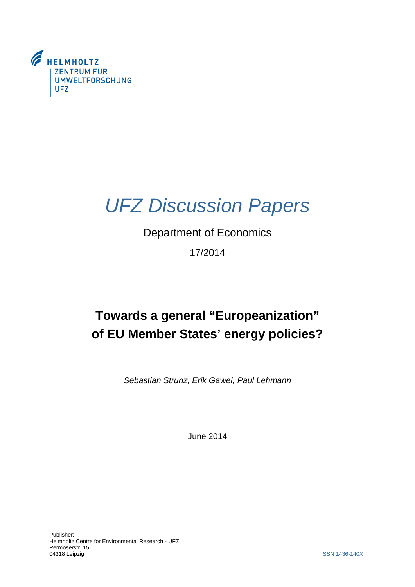

# *UFZ Discussion Papers*

## Department of Economics

## 17/2014

## **Towards a general "Europeanization" of EU Member States' energy policies?**

*Sebastian Strunz, Erik Gawel, Paul Lehmann*

June 2014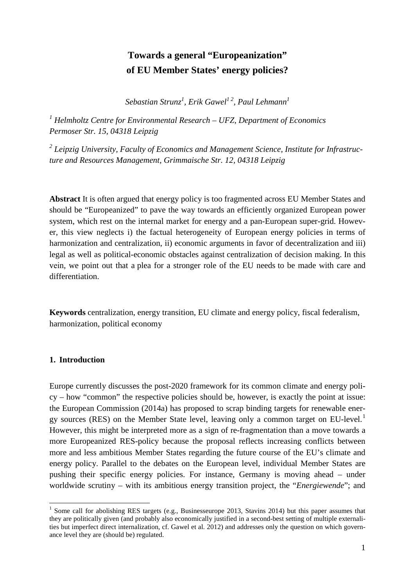## **Towards a general "Europeanization" of EU Member States' energy policies?**

*Sebastian Strunz<sup>1</sup> , Erik Gawel1 2, Paul Lehmann1*

*<sup>1</sup> Helmholtz Centre for Environmental Research – UFZ, Department of Economics Permoser Str. 15, 04318 Leipzig* 

*<sup>2</sup> Leipzig University, Faculty of Economics and Management Science, Institute for Infrastructure and Resources Management, Grimmaische Str. 12, 04318 Leipzig* 

**Abstract** It is often argued that energy policy is too fragmented across EU Member States and should be "Europeanized" to pave the way towards an efficiently organized European power system, which rest on the internal market for energy and a pan-European super-grid. However, this view neglects i) the factual heterogeneity of European energy policies in terms of harmonization and centralization, ii) economic arguments in favor of decentralization and iii) legal as well as political-economic obstacles against centralization of decision making. In this vein, we point out that a plea for a stronger role of the EU needs to be made with care and differentiation.

**Keywords** centralization, energy transition, EU climate and energy policy, fiscal federalism, harmonization, political economy

#### **1. Introduction**

Europe currently discusses the post-2020 framework for its common climate and energy policy – how "common" the respective policies should be, however, is exactly the point at issue: the European Commission (2014a) has proposed to scrap binding targets for renewable ener-gy sources (RES) on the Member State level, leaving only a common target on EU-level.<sup>[1](#page-1-0)</sup> However, this might be interpreted more as a sign of re-fragmentation than a move towards a more Europeanized RES-policy because the proposal reflects increasing conflicts between more and less ambitious Member States regarding the future course of the EU's climate and energy policy. Parallel to the debates on the European level, individual Member States are pushing their specific energy policies. For instance, Germany is moving ahead – under worldwide scrutiny – with its ambitious energy transition project, the "*Energiewende*"; and

<span id="page-1-0"></span><sup>&</sup>lt;sup>1</sup> Some call for abolishing RES targets (e.g., Businesseurope 2013, Stavins 2014) but this paper assumes that they are politically given (and probably also economically justified in a second-best setting of multiple externalities but imperfect direct internalization, cf. Gawel et al. 2012) and addresses only the question on which governance level they are (should be) regulated.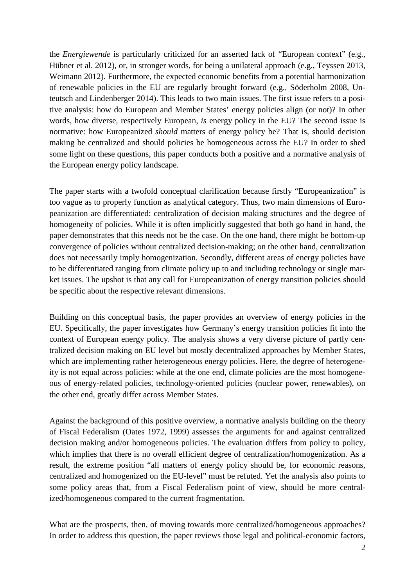the *Energiewende* is particularly criticized for an asserted lack of "European context" (e.g., Hübner et al. 2012), or, in stronger words, for being a unilateral approach (e.g., Teyssen 2013, Weimann 2012). Furthermore, the expected economic benefits from a potential harmonization of renewable policies in the EU are regularly brought forward (e.g., Söderholm 2008, Unteutsch and Lindenberger 2014). This leads to two main issues. The first issue refers to a positive analysis: how do European and Member States' energy policies align (or not)? In other words, how diverse, respectively European, *is* energy policy in the EU? The second issue is normative: how Europeanized *should* matters of energy policy be? That is, should decision making be centralized and should policies be homogeneous across the EU? In order to shed some light on these questions, this paper conducts both a positive and a normative analysis of the European energy policy landscape.

The paper starts with a twofold conceptual clarification because firstly "Europeanization" is too vague as to properly function as analytical category. Thus, two main dimensions of Europeanization are differentiated: centralization of decision making structures and the degree of homogeneity of policies. While it is often implicitly suggested that both go hand in hand, the paper demonstrates that this needs not be the case. On the one hand, there might be bottom-up convergence of policies without centralized decision-making; on the other hand, centralization does not necessarily imply homogenization. Secondly, different areas of energy policies have to be differentiated ranging from climate policy up to and including technology or single market issues. The upshot is that any call for Europeanization of energy transition policies should be specific about the respective relevant dimensions.

Building on this conceptual basis, the paper provides an overview of energy policies in the EU. Specifically, the paper investigates how Germany's energy transition policies fit into the context of European energy policy. The analysis shows a very diverse picture of partly centralized decision making on EU level but mostly decentralized approaches by Member States, which are implementing rather heterogeneous energy policies. Here, the degree of heterogeneity is not equal across policies: while at the one end, climate policies are the most homogeneous of energy-related policies, technology-oriented policies (nuclear power, renewables), on the other end, greatly differ across Member States.

Against the background of this positive overview, a normative analysis building on the theory of Fiscal Federalism (Oates 1972, 1999) assesses the arguments for and against centralized decision making and/or homogeneous policies. The evaluation differs from policy to policy, which implies that there is no overall efficient degree of centralization/homogenization. As a result, the extreme position "all matters of energy policy should be, for economic reasons, centralized and homogenized on the EU-level" must be refuted. Yet the analysis also points to some policy areas that, from a Fiscal Federalism point of view, should be more centralized/homogeneous compared to the current fragmentation.

What are the prospects, then, of moving towards more centralized/homogeneous approaches? In order to address this question, the paper reviews those legal and political-economic factors,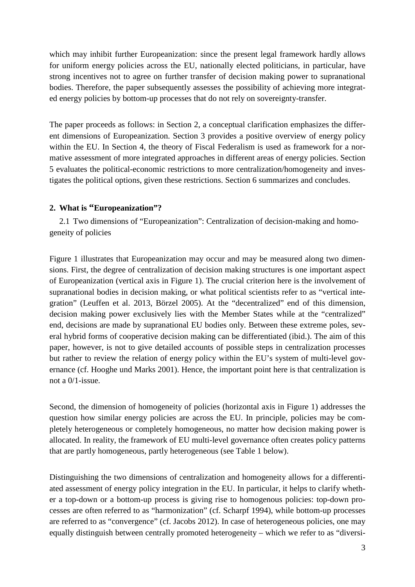which may inhibit further Europeanization: since the present legal framework hardly allows for uniform energy policies across the EU, nationally elected politicians, in particular, have strong incentives not to agree on further transfer of decision making power to supranational bodies. Therefore, the paper subsequently assesses the possibility of achieving more integrated energy policies by bottom-up processes that do not rely on sovereignty-transfer.

The paper proceeds as follows: in Section 2, a conceptual clarification emphasizes the different dimensions of Europeanization. Section 3 provides a positive overview of energy policy within the EU. In Section 4, the theory of Fiscal Federalism is used as framework for a normative assessment of more integrated approaches in different areas of energy policies. Section 5 evaluates the political-economic restrictions to more centralization/homogeneity and investigates the political options, given these restrictions. Section 6 summarizes and concludes.

#### **2. What is "Europeanization"?**

2.1 Two dimensions of "Europeanization": Centralization of decision-making and homogeneity of policies

Figure 1 illustrates that Europeanization may occur and may be measured along two dimensions. First, the degree of centralization of decision making structures is one important aspect of Europeanization (vertical axis in Figure 1). The crucial criterion here is the involvement of supranational bodies in decision making, or what political scientists refer to as "vertical integration" (Leuffen et al. 2013, Börzel 2005). At the "decentralized" end of this dimension, decision making power exclusively lies with the Member States while at the "centralized" end, decisions are made by supranational EU bodies only. Between these extreme poles, several hybrid forms of cooperative decision making can be differentiated (ibid.). The aim of this paper, however, is not to give detailed accounts of possible steps in centralization processes but rather to review the relation of energy policy within the EU's system of multi-level governance (cf. Hooghe und Marks 2001). Hence, the important point here is that centralization is not a 0/1-issue.

Second, the dimension of homogeneity of policies (horizontal axis in Figure 1) addresses the question how similar energy policies are across the EU. In principle, policies may be completely heterogeneous or completely homogeneous, no matter how decision making power is allocated. In reality, the framework of EU multi-level governance often creates policy patterns that are partly homogeneous, partly heterogeneous (see Table 1 below).

Distinguishing the two dimensions of centralization and homogeneity allows for a differentiated assessment of energy policy integration in the EU. In particular, it helps to clarify whether a top-down or a bottom-up process is giving rise to homogenous policies: top-down processes are often referred to as "harmonization" (cf. Scharpf 1994), while bottom-up processes are referred to as "convergence" (cf. Jacobs 2012). In case of heterogeneous policies, one may equally distinguish between centrally promoted heterogeneity – which we refer to as "diversi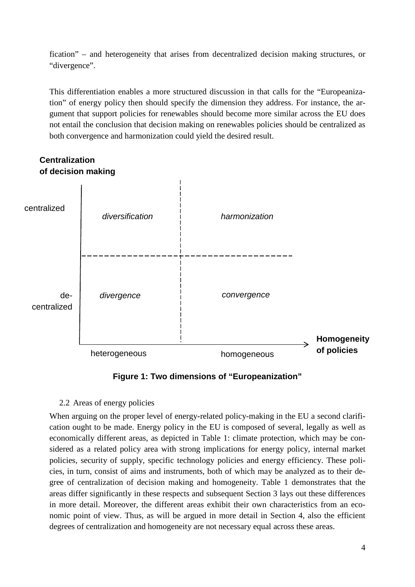fication" – and heterogeneity that arises from decentralized decision making structures, or "divergence".

This differentiation enables a more structured discussion in that calls for the "Europeanization" of energy policy then should specify the dimension they address. For instance, the argument that support policies for renewables should become more similar across the EU does not entail the conclusion that decision making on renewables policies should be centralized as both convergence and harmonization could yield the desired result.



**Figure 1: Two dimensions of "Europeanization"**

#### 2.2 Areas of energy policies

When arguing on the proper level of energy-related policy-making in the EU a second clarification ought to be made. Energy policy in the EU is composed of several, legally as well as economically different areas, as depicted in Table 1: climate protection, which may be considered as a related policy area with strong implications for energy policy, internal market policies, security of supply, specific technology policies and energy efficiency. These policies, in turn, consist of aims and instruments, both of which may be analyzed as to their degree of centralization of decision making and homogeneity. Table 1 demonstrates that the areas differ significantly in these respects and subsequent Section 3 lays out these differences in more detail. Moreover, the different areas exhibit their own characteristics from an economic point of view. Thus, as will be argued in more detail in Section 4, also the efficient degrees of centralization and homogeneity are not necessary equal across these areas.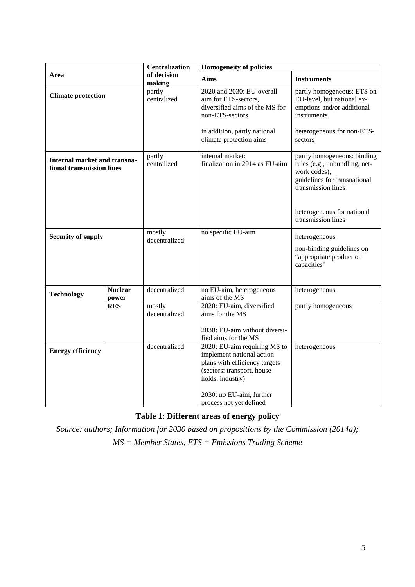| Area                                                      |                         | <b>Centralization</b>   | <b>Homogeneity of policies</b>                                                                                                                                                                       |                                                                                                                                                                  |
|-----------------------------------------------------------|-------------------------|-------------------------|------------------------------------------------------------------------------------------------------------------------------------------------------------------------------------------------------|------------------------------------------------------------------------------------------------------------------------------------------------------------------|
|                                                           |                         | of decision<br>making   | Aims                                                                                                                                                                                                 | <b>Instruments</b>                                                                                                                                               |
| <b>Climate protection</b>                                 |                         | partly<br>centralized   | 2020 and 2030: EU-overall<br>aim for ETS-sectors,<br>diversified aims of the MS for<br>non-ETS-sectors                                                                                               | partly homogeneous: ETS on<br>EU-level, but national ex-<br>emptions and/or additional<br>instruments                                                            |
|                                                           |                         |                         | in addition, partly national<br>climate protection aims                                                                                                                                              | heterogeneous for non-ETS-<br>sectors                                                                                                                            |
| Internal market and transna-<br>tional transmission lines |                         | partly<br>centralized   | internal market:<br>finalization in 2014 as EU-aim                                                                                                                                                   | partly homogeneous: binding<br>rules (e.g., unbundling, net-<br>work codes),<br>guidelines for transnational<br>transmission lines<br>heterogeneous for national |
|                                                           |                         |                         |                                                                                                                                                                                                      | transmission lines                                                                                                                                               |
| <b>Security of supply</b>                                 |                         | mostly<br>decentralized | no specific EU-aim                                                                                                                                                                                   | heterogeneous<br>non-binding guidelines on<br>"appropriate production<br>capacities"                                                                             |
| <b>Technology</b>                                         | <b>Nuclear</b><br>power | decentralized           | no EU-aim, heterogeneous<br>aims of the MS                                                                                                                                                           | heterogeneous                                                                                                                                                    |
|                                                           | <b>RES</b>              | mostly<br>decentralized | 2020: EU-aim, diversified<br>aims for the MS<br>2030: EU-aim without diversi-<br>fied aims for the MS                                                                                                | partly homogeneous                                                                                                                                               |
| <b>Energy efficiency</b>                                  |                         | decentralized           | 2020: EU-aim requiring MS to<br>implement national action<br>plans with efficiency targets<br>(sectors: transport, house-<br>holds, industry)<br>2030: no EU-aim, further<br>process not yet defined | heterogeneous                                                                                                                                                    |

### **Table 1: Different areas of energy policy**

*Source: authors; Information for 2030 based on propositions by the Commission (2014a); MS = Member States, ETS = Emissions Trading Scheme*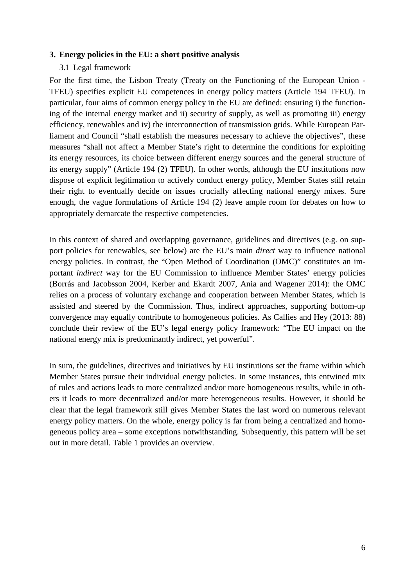#### **3. Energy policies in the EU: a short positive analysis**

#### 3.1 Legal framework

For the first time, the Lisbon Treaty (Treaty on the Functioning of the European Union - TFEU) specifies explicit EU competences in energy policy matters (Article 194 TFEU). In particular, four aims of common energy policy in the EU are defined: ensuring i) the functioning of the internal energy market and ii) security of supply, as well as promoting iii) energy efficiency, renewables and iv) the interconnection of transmission grids. While European Parliament and Council "shall establish the measures necessary to achieve the objectives", these measures "shall not affect a Member State's right to determine the conditions for exploiting its energy resources, its choice between different energy sources and the general structure of its energy supply" (Article 194 (2) TFEU). In other words, although the EU institutions now dispose of explicit legitimation to actively conduct energy policy, Member States still retain their right to eventually decide on issues crucially affecting national energy mixes. Sure enough, the vague formulations of Article 194 (2) leave ample room for debates on how to appropriately demarcate the respective competencies.

In this context of shared and overlapping governance, guidelines and directives (e.g. on support policies for renewables, see below) are the EU's main *direct* way to influence national energy policies. In contrast, the "Open Method of Coordination (OMC)" constitutes an important *indirect* way for the EU Commission to influence Member States' energy policies (Borrás and Jacobsson 2004, Kerber and Ekardt 2007, Ania and Wagener 2014): the OMC relies on a process of voluntary exchange and cooperation between Member States, which is assisted and steered by the Commission. Thus, indirect approaches, supporting bottom-up convergence may equally contribute to homogeneous policies. As Callies and Hey (2013: 88) conclude their review of the EU's legal energy policy framework: "The EU impact on the national energy mix is predominantly indirect, yet powerful".

In sum, the guidelines, directives and initiatives by EU institutions set the frame within which Member States pursue their individual energy policies. In some instances, this entwined mix of rules and actions leads to more centralized and/or more homogeneous results, while in others it leads to more decentralized and/or more heterogeneous results. However, it should be clear that the legal framework still gives Member States the last word on numerous relevant energy policy matters. On the whole, energy policy is far from being a centralized and homogeneous policy area – some exceptions notwithstanding. Subsequently, this pattern will be set out in more detail. Table 1 provides an overview.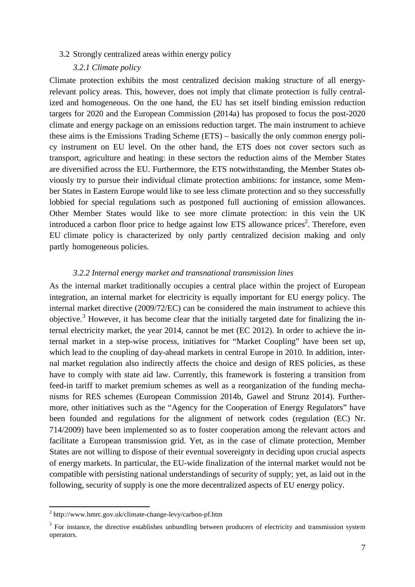3.2 Strongly centralized areas within energy policy

#### *3.2.1 Climate policy*

Climate protection exhibits the most centralized decision making structure of all energyrelevant policy areas. This, however, does not imply that climate protection is fully centralized and homogeneous. On the one hand, the EU has set itself binding emission reduction targets for 2020 and the European Commission (2014a) has proposed to focus the post-2020 climate and energy package on an emissions reduction target. The main instrument to achieve these aims is the Emissions Trading Scheme (ETS) – basically the only common energy policy instrument on EU level. On the other hand, the ETS does not cover sectors such as transport, agriculture and heating: in these sectors the reduction aims of the Member States are diversified across the EU. Furthermore, the ETS notwithstanding, the Member States obviously try to pursue their individual climate protection ambitions: for instance, some Member States in Eastern Europe would like to see less climate protection and so they successfully lobbied for special regulations such as postponed full auctioning of emission allowances. Other Member States would like to see more climate protection: in this vein the UK introduced a carbon floor p[ri](#page-7-0)ce to hedge against low ETS allowance prices<sup>2</sup>. Therefore, even EU climate policy is characterized by only partly centralized decision making and only partly homogeneous policies.

#### *3.2.2 Internal energy market and transnational transmission lines*

As the internal market traditionally occupies a central place within the project of European integration, an internal market for electricity is equally important for EU energy policy. The internal market directive (2009/72/EC) can be considered the main instrument to achieve this objective.[3](#page-7-1) However, it has become clear that the initially targeted date for finalizing the internal electricity market, the year 2014, cannot be met (EC 2012). In order to achieve the internal market in a step-wise process, initiatives for "Market Coupling" have been set up, which lead to the coupling of day-ahead markets in central Europe in 2010. In addition, internal market regulation also indirectly affects the choice and design of RES policies, as these have to comply with state aid law. Currently, this framework is fostering a transition from feed-in tariff to market premium schemes as well as a reorganization of the funding mechanisms for RES schemes (European Commission 2014b, Gawel and Strunz 2014). Furthermore, other initiatives such as the "Agency for the Cooperation of Energy Regulators" have been founded and regulations for the alignment of network codes (regulation (EC) Nr. 714/2009) have been implemented so as to foster cooperation among the relevant actors and facilitate a European transmission grid. Yet, as in the case of climate protection, Member States are not willing to dispose of their eventual sovereignty in deciding upon crucial aspects of energy markets. In particular, the EU-wide finalization of the internal market would not be compatible with persisting national understandings of security of supply; yet, as laid out in the following, security of supply is one the more decentralized aspects of EU energy policy.

<span id="page-7-0"></span><sup>2</sup> http://www.hmrc.gov.uk/climate-change-levy/carbon-pf.htm

<span id="page-7-1"></span><sup>&</sup>lt;sup>3</sup> For instance, the directive establishes unbundling between producers of electricity and transmission system operators.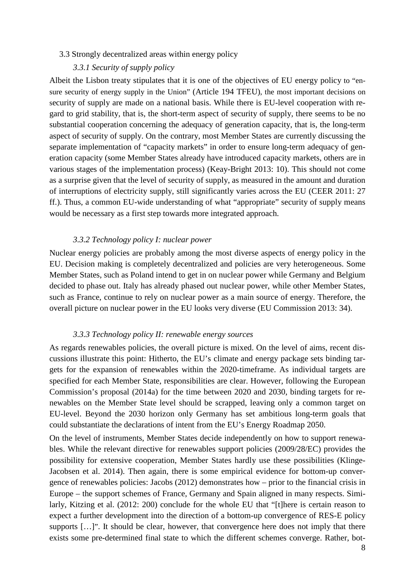#### 3.3 Strongly decentralized areas within energy policy

#### *3.3.1 Security of supply policy*

Albeit the Lisbon treaty stipulates that it is one of the objectives of EU energy policy to "ensure security of energy supply in the Union" (Article 194 TFEU), the most important decisions on security of supply are made on a national basis. While there is EU-level cooperation with regard to grid stability, that is, the short-term aspect of security of supply, there seems to be no substantial cooperation concerning the adequacy of generation capacity, that is, the long-term aspect of security of supply. On the contrary, most Member States are currently discussing the separate implementation of "capacity markets" in order to ensure long-term adequacy of generation capacity (some Member States already have introduced capacity markets, others are in various stages of the implementation process) (Keay-Bright 2013: 10). This should not come as a surprise given that the level of security of supply, as measured in the amount and duration of interruptions of electricity supply, still significantly varies across the EU (CEER 2011: 27 ff.). Thus, a common EU-wide understanding of what "appropriate" security of supply means would be necessary as a first step towards more integrated approach.

#### *3.3.2 Technology policy I: nuclear power*

Nuclear energy policies are probably among the most diverse aspects of energy policy in the EU. Decision making is completely decentralized and policies are very heterogeneous. Some Member States, such as Poland intend to get in on nuclear power while Germany and Belgium decided to phase out. Italy has already phased out nuclear power, while other Member States, such as France, continue to rely on nuclear power as a main source of energy. Therefore, the overall picture on nuclear power in the EU looks very diverse (EU Commission 2013: 34).

#### *3.3.3 Technology policy II: renewable energy sources*

As regards renewables policies, the overall picture is mixed. On the level of aims, recent discussions illustrate this point: Hitherto, the EU's climate and energy package sets binding targets for the expansion of renewables within the 2020-timeframe. As individual targets are specified for each Member State, responsibilities are clear. However, following the European Commission's proposal (2014a) for the time between 2020 and 2030, binding targets for renewables on the Member State level should be scrapped, leaving only a common target on EU-level. Beyond the 2030 horizon only Germany has set ambitious long-term goals that could substantiate the declarations of intent from the EU's Energy Roadmap 2050.

On the level of instruments, Member States decide independently on how to support renewables. While the relevant directive for renewables support policies (2009/28/EC) provides the possibility for extensive cooperation, Member States hardly use these possibilities (Klinge-Jacobsen et al. 2014). Then again, there is some empirical evidence for bottom-up convergence of renewables policies: Jacobs (2012) demonstrates how – prior to the financial crisis in Europe – the support schemes of France, Germany and Spain aligned in many respects. Similarly, Kitzing et al. (2012: 200) conclude for the whole EU that "[t]here is certain reason to expect a further development into the direction of a bottom-up convergence of RES-E policy supports […]". It should be clear, however, that convergence here does not imply that there exists some pre-determined final state to which the different schemes converge. Rather, bot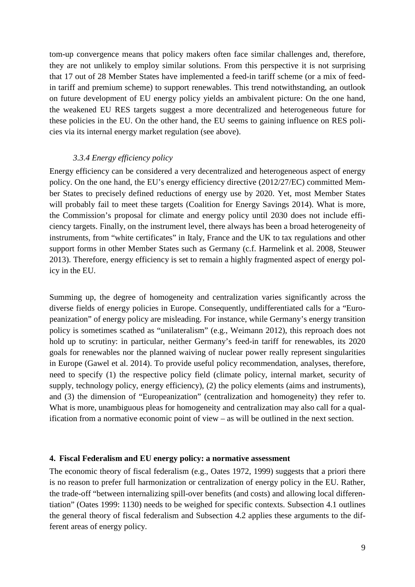tom-up convergence means that policy makers often face similar challenges and, therefore, they are not unlikely to employ similar solutions. From this perspective it is not surprising that 17 out of 28 Member States have implemented a feed-in tariff scheme (or a mix of feedin tariff and premium scheme) to support renewables. This trend notwithstanding, an outlook on future development of EU energy policy yields an ambivalent picture: On the one hand, the weakened EU RES targets suggest a more decentralized and heterogeneous future for these policies in the EU. On the other hand, the EU seems to gaining influence on RES policies via its internal energy market regulation (see above).

#### *3.3.4 Energy efficiency policy*

Energy efficiency can be considered a very decentralized and heterogeneous aspect of energy policy. On the one hand, the EU's energy efficiency directive (2012/27/EC) committed Member States to precisely defined reductions of energy use by 2020. Yet, most Member States will probably fail to meet these targets (Coalition for Energy Savings 2014). What is more, the Commission's proposal for climate and energy policy until 2030 does not include efficiency targets. Finally, on the instrument level, there always has been a broad heterogeneity of instruments, from "white certificates" in Italy, France and the UK to tax regulations and other support forms in other Member States such as Germany (c.f. Harmelink et al. 2008, Steuwer 2013). Therefore, energy efficiency is set to remain a highly fragmented aspect of energy policy in the EU.

Summing up, the degree of homogeneity and centralization varies significantly across the diverse fields of energy policies in Europe. Consequently, undifferentiated calls for a "Europeanization" of energy policy are misleading. For instance, while Germany's energy transition policy is sometimes scathed as "unilateralism" (e.g., Weimann 2012), this reproach does not hold up to scrutiny: in particular, neither Germany's feed-in tariff for renewables, its 2020 goals for renewables nor the planned waiving of nuclear power really represent singularities in Europe (Gawel et al. 2014). To provide useful policy recommendation, analyses, therefore, need to specify (1) the respective policy field (climate policy, internal market, security of supply, technology policy, energy efficiency), (2) the policy elements (aims and instruments), and (3) the dimension of "Europeanization" (centralization and homogeneity) they refer to. What is more, unambiguous pleas for homogeneity and centralization may also call for a qualification from a normative economic point of view – as will be outlined in the next section.

#### **4. Fiscal Federalism and EU energy policy: a normative assessment**

The economic theory of fiscal federalism (e.g., Oates 1972, 1999) suggests that a priori there is no reason to prefer full harmonization or centralization of energy policy in the EU. Rather, the trade-off "between internalizing spill-over benefits (and costs) and allowing local differentiation" (Oates 1999: 1130) needs to be weighed for specific contexts. Subsection 4.1 outlines the general theory of fiscal federalism and Subsection 4.2 applies these arguments to the different areas of energy policy.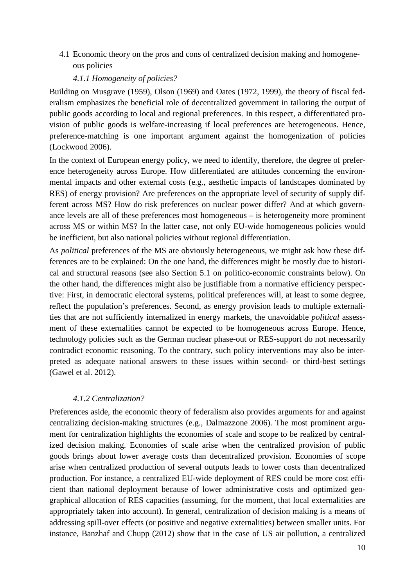4.1 Economic theory on the pros and cons of centralized decision making and homogeneous policies

#### *4.1.1 Homogeneity of policies?*

Building on Musgrave (1959), Olson (1969) and Oates (1972, 1999), the theory of fiscal federalism emphasizes the beneficial role of decentralized government in tailoring the output of public goods according to local and regional preferences. In this respect, a differentiated provision of public goods is welfare-increasing if local preferences are heterogeneous. Hence, preference-matching is one important argument against the homogenization of policies (Lockwood 2006).

In the context of European energy policy, we need to identify, therefore, the degree of preference heterogeneity across Europe. How differentiated are attitudes concerning the environmental impacts and other external costs (e.g., aesthetic impacts of landscapes dominated by RES) of energy provision? Are preferences on the appropriate level of security of supply different across MS? How do risk preferences on nuclear power differ? And at which governance levels are all of these preferences most homogeneous – is heterogeneity more prominent across MS or within MS? In the latter case, not only EU-wide homogeneous policies would be inefficient, but also national policies without regional differentiation.

As *political* preferences of the MS are obviously heterogeneous, we might ask how these differences are to be explained: On the one hand, the differences might be mostly due to historical and structural reasons (see also Section 5.1 on politico-economic constraints below). On the other hand, the differences might also be justifiable from a normative efficiency perspective: First, in democratic electoral systems, political preferences will, at least to some degree, reflect the population's preferences. Second, as energy provision leads to multiple externalities that are not sufficiently internalized in energy markets, the unavoidable *political* assessment of these externalities cannot be expected to be homogeneous across Europe. Hence, technology policies such as the German nuclear phase-out or RES-support do not necessarily contradict economic reasoning. To the contrary, such policy interventions may also be interpreted as adequate national answers to these issues within second- or third-best settings (Gawel et al. 2012).

#### *4.1.2 Centralization?*

Preferences aside, the economic theory of federalism also provides arguments for and against centralizing decision-making structures (e.g., Dalmazzone 2006). The most prominent argument for centralization highlights the economies of scale and scope to be realized by centralized decision making. Economies of scale arise when the centralized provision of public goods brings about lower average costs than decentralized provision. Economies of scope arise when centralized production of several outputs leads to lower costs than decentralized production. For instance, a centralized EU-wide deployment of RES could be more cost efficient than national deployment because of lower administrative costs and optimized geographical allocation of RES capacities (assuming, for the moment, that local externalities are appropriately taken into account). In general, centralization of decision making is a means of addressing spill-over effects (or positive and negative externalities) between smaller units. For instance, Banzhaf and Chupp (2012) show that in the case of US air pollution, a centralized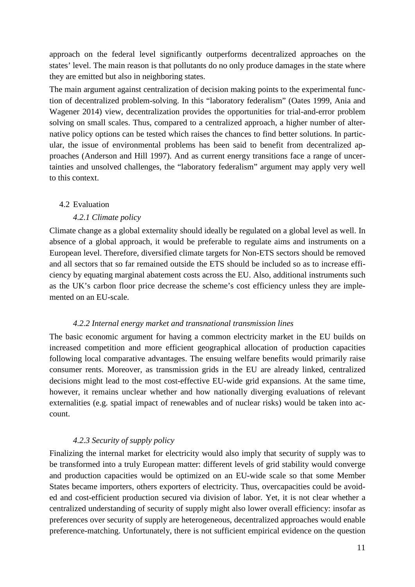approach on the federal level significantly outperforms decentralized approaches on the states' level. The main reason is that pollutants do no only produce damages in the state where they are emitted but also in neighboring states.

The main argument against centralization of decision making points to the experimental function of decentralized problem-solving. In this "laboratory federalism" (Oates 1999, Ania and Wagener 2014) view, decentralization provides the opportunities for trial-and-error problem solving on small scales. Thus, compared to a centralized approach, a higher number of alternative policy options can be tested which raises the chances to find better solutions. In particular, the issue of environmental problems has been said to benefit from decentralized approaches (Anderson and Hill 1997). And as current energy transitions face a range of uncertainties and unsolved challenges, the "laboratory federalism" argument may apply very well to this context.

#### 4.2 Evaluation

#### *4.2.1 Climate policy*

Climate change as a global externality should ideally be regulated on a global level as well. In absence of a global approach, it would be preferable to regulate aims and instruments on a European level. Therefore, diversified climate targets for Non-ETS sectors should be removed and all sectors that so far remained outside the ETS should be included so as to increase efficiency by equating marginal abatement costs across the EU. Also, additional instruments such as the UK's carbon floor price decrease the scheme's cost efficiency unless they are implemented on an EU-scale.

#### *4.2.2 Internal energy market and transnational transmission lines*

The basic economic argument for having a common electricity market in the EU builds on increased competition and more efficient geographical allocation of production capacities following local comparative advantages. The ensuing welfare benefits would primarily raise consumer rents. Moreover, as transmission grids in the EU are already linked, centralized decisions might lead to the most cost-effective EU-wide grid expansions. At the same time, however, it remains unclear whether and how nationally diverging evaluations of relevant externalities (e.g. spatial impact of renewables and of nuclear risks) would be taken into account.

#### *4.2.3 Security of supply policy*

Finalizing the internal market for electricity would also imply that security of supply was to be transformed into a truly European matter: different levels of grid stability would converge and production capacities would be optimized on an EU-wide scale so that some Member States became importers, others exporters of electricity. Thus, overcapacities could be avoided and cost-efficient production secured via division of labor. Yet, it is not clear whether a centralized understanding of security of supply might also lower overall efficiency: insofar as preferences over security of supply are heterogeneous, decentralized approaches would enable preference-matching. Unfortunately, there is not sufficient empirical evidence on the question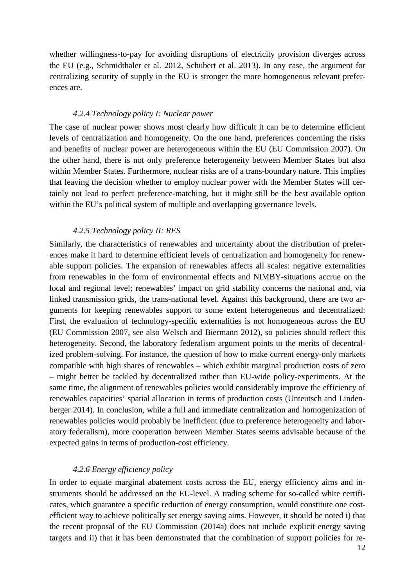whether willingness-to-pay for avoiding disruptions of electricity provision diverges across the EU (e.g., Schmidthaler et al. 2012, Schubert et al. 2013). In any case, the argument for centralizing security of supply in the EU is stronger the more homogeneous relevant preferences are.

#### *4.2.4 Technology policy I: Nuclear power*

The case of nuclear power shows most clearly how difficult it can be to determine efficient levels of centralization and homogeneity. On the one hand, preferences concerning the risks and benefits of nuclear power are heterogeneous within the EU (EU Commission 2007). On the other hand, there is not only preference heterogeneity between Member States but also within Member States. Furthermore, nuclear risks are of a trans-boundary nature. This implies that leaving the decision whether to employ nuclear power with the Member States will certainly not lead to perfect preference-matching, but it might still be the best available option within the EU's political system of multiple and overlapping governance levels.

#### *4.2.5 Technology policy II: RES*

Similarly, the characteristics of renewables and uncertainty about the distribution of preferences make it hard to determine efficient levels of centralization and homogeneity for renewable support policies. The expansion of renewables affects all scales: negative externalities from renewables in the form of environmental effects and NIMBY-situations accrue on the local and regional level; renewables' impact on grid stability concerns the national and, via linked transmission grids, the trans-national level. Against this background, there are two arguments for keeping renewables support to some extent heterogeneous and decentralized: First, the evaluation of technology-specific externalities is not homogeneous across the EU (EU Commission 2007, see also Welsch and Biermann 2012), so policies should reflect this heterogeneity. Second, the laboratory federalism argument points to the merits of decentralized problem-solving. For instance, the question of how to make current energy-only markets compatible with high shares of renewables – which exhibit marginal production costs of zero – might better be tackled by decentralized rather than EU-wide policy-experiments. At the same time, the alignment of renewables policies would considerably improve the efficiency of renewables capacities' spatial allocation in terms of production costs (Unteutsch and Lindenberger 2014). In conclusion, while a full and immediate centralization and homogenization of renewables policies would probably be inefficient (due to preference heterogeneity and laboratory federalism), more cooperation between Member States seems advisable because of the expected gains in terms of production-cost efficiency.

#### *4.2.6 Energy efficiency policy*

In order to equate marginal abatement costs across the EU, energy efficiency aims and instruments should be addressed on the EU-level. A trading scheme for so-called white certificates, which guarantee a specific reduction of energy consumption, would constitute one costefficient way to achieve politically set energy saving aims. However, it should be noted i) that the recent proposal of the EU Commission (2014a) does not include explicit energy saving targets and ii) that it has been demonstrated that the combination of support policies for re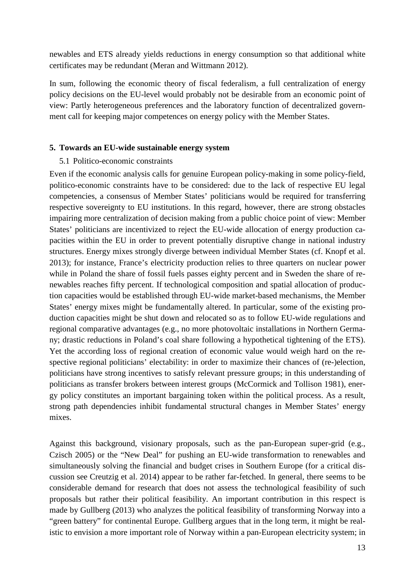newables and ETS already yields reductions in energy consumption so that additional white certificates may be redundant (Meran and Wittmann 2012).

In sum, following the economic theory of fiscal federalism, a full centralization of energy policy decisions on the EU-level would probably not be desirable from an economic point of view: Partly heterogeneous preferences and the laboratory function of decentralized government call for keeping major competences on energy policy with the Member States.

#### **5. Towards an EU-wide sustainable energy system**

#### 5.1 Politico-economic constraints

Even if the economic analysis calls for genuine European policy-making in some policy-field, politico-economic constraints have to be considered: due to the lack of respective EU legal competencies, a consensus of Member States' politicians would be required for transferring respective sovereignty to EU institutions. In this regard, however, there are strong obstacles impairing more centralization of decision making from a public choice point of view: Member States' politicians are incentivized to reject the EU-wide allocation of energy production capacities within the EU in order to prevent potentially disruptive change in national industry structures. Energy mixes strongly diverge between individual Member States (cf. Knopf et al. 2013); for instance, France's electricity production relies to three quarters on nuclear power while in Poland the share of fossil fuels passes eighty percent and in Sweden the share of renewables reaches fifty percent. If technological composition and spatial allocation of production capacities would be established through EU-wide market-based mechanisms, the Member States' energy mixes might be fundamentally altered. In particular, some of the existing production capacities might be shut down and relocated so as to follow EU-wide regulations and regional comparative advantages (e.g., no more photovoltaic installations in Northern Germany; drastic reductions in Poland's coal share following a hypothetical tightening of the ETS). Yet the according loss of regional creation of economic value would weigh hard on the respective regional politicians' electability: in order to maximize their chances of (re-)election, politicians have strong incentives to satisfy relevant pressure groups; in this understanding of politicians as transfer brokers between interest groups (McCormick and Tollison 1981), energy policy constitutes an important bargaining token within the political process. As a result, strong path dependencies inhibit fundamental structural changes in Member States' energy mixes.

Against this background, visionary proposals, such as the pan-European super-grid (e.g., Czisch 2005) or the "New Deal" for pushing an EU-wide transformation to renewables and simultaneously solving the financial and budget crises in Southern Europe (for a critical discussion see Creutzig et al. 2014) appear to be rather far-fetched. In general, there seems to be considerable demand for research that does not assess the technological feasibility of such proposals but rather their political feasibility. An important contribution in this respect is made by Gullberg (2013) who analyzes the political feasibility of transforming Norway into a "green battery" for continental Europe. Gullberg argues that in the long term, it might be realistic to envision a more important role of Norway within a pan-European electricity system; in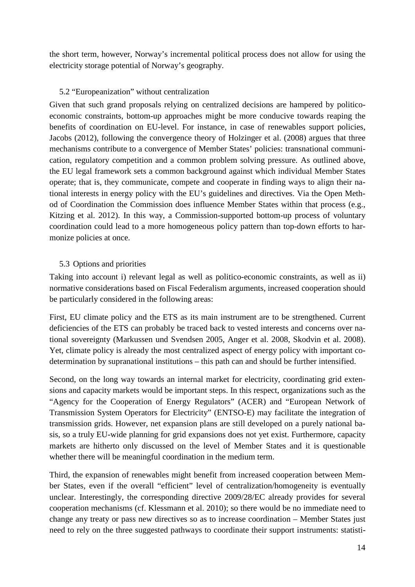the short term, however, Norway's incremental political process does not allow for using the electricity storage potential of Norway's geography.

#### 5.2 "Europeanization" without centralization

Given that such grand proposals relying on centralized decisions are hampered by politicoeconomic constraints, bottom-up approaches might be more conducive towards reaping the benefits of coordination on EU-level. For instance, in case of renewables support policies, Jacobs (2012), following the convergence theory of Holzinger et al. (2008) argues that three mechanisms contribute to a convergence of Member States' policies: transnational communication, regulatory competition and a common problem solving pressure. As outlined above, the EU legal framework sets a common background against which individual Member States operate; that is, they communicate, compete and cooperate in finding ways to align their national interests in energy policy with the EU's guidelines and directives. Via the Open Method of Coordination the Commission does influence Member States within that process (e.g., Kitzing et al. 2012). In this way, a Commission-supported bottom-up process of voluntary coordination could lead to a more homogeneous policy pattern than top-down efforts to harmonize policies at once.

#### 5.3 Options and priorities

Taking into account i) relevant legal as well as politico-economic constraints, as well as ii) normative considerations based on Fiscal Federalism arguments, increased cooperation should be particularly considered in the following areas:

First, EU climate policy and the ETS as its main instrument are to be strengthened. Current deficiencies of the ETS can probably be traced back to vested interests and concerns over national sovereignty (Markussen und Svendsen 2005, Anger et al. 2008, Skodvin et al. 2008). Yet, climate policy is already the most centralized aspect of energy policy with important codetermination by supranational institutions – this path can and should be further intensified.

Second, on the long way towards an internal market for electricity, coordinating grid extensions and capacity markets would be important steps. In this respect, organizations such as the "Agency for the Cooperation of Energy Regulators" (ACER) and "European Network of Transmission System Operators for Electricity" (ENTSO-E) may facilitate the integration of transmission grids. However, net expansion plans are still developed on a purely national basis, so a truly EU-wide planning for grid expansions does not yet exist. Furthermore, capacity markets are hitherto only discussed on the level of Member States and it is questionable whether there will be meaningful coordination in the medium term.

Third, the expansion of renewables might benefit from increased cooperation between Member States, even if the overall "efficient" level of centralization/homogeneity is eventually unclear. Interestingly, the corresponding directive 2009/28/EC already provides for several cooperation mechanisms (cf. Klessmann et al. 2010); so there would be no immediate need to change any treaty or pass new directives so as to increase coordination – Member States just need to rely on the three suggested pathways to coordinate their support instruments: statisti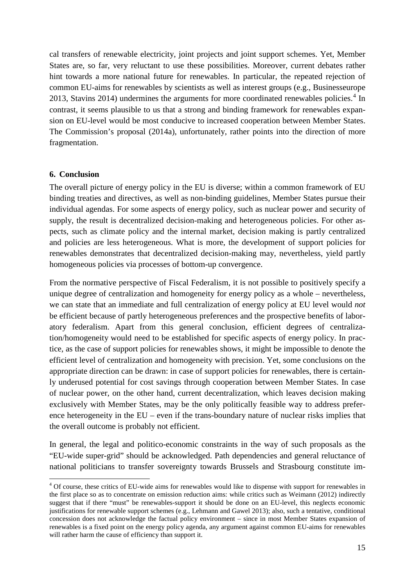cal transfers of renewable electricity, joint projects and joint support schemes. Yet, Member States are, so far, very reluctant to use these possibilities. Moreover, current debates rather hint towards a more national future for renewables. In particular, the repeated rejection of common EU-aims for renewables by scientists as well as interest groups (e.g., Businesseurope 2013, Stavins 201[4](#page-15-0)) undermines the arguments for more coordinated renewables policies.<sup>4</sup> In contrast, it seems plausible to us that a strong and binding framework for renewables expansion on EU-level would be most conducive to increased cooperation between Member States. The Commission's proposal (2014a), unfortunately, rather points into the direction of more fragmentation.

#### **6. Conclusion**

The overall picture of energy policy in the EU is diverse; within a common framework of EU binding treaties and directives, as well as non-binding guidelines, Member States pursue their individual agendas. For some aspects of energy policy, such as nuclear power and security of supply, the result is decentralized decision-making and heterogeneous policies. For other aspects, such as climate policy and the internal market, decision making is partly centralized and policies are less heterogeneous. What is more, the development of support policies for renewables demonstrates that decentralized decision-making may, nevertheless, yield partly homogeneous policies via processes of bottom-up convergence.

From the normative perspective of Fiscal Federalism, it is not possible to positively specify a unique degree of centralization and homogeneity for energy policy as a whole – nevertheless, we can state that an immediate and full centralization of energy policy at EU level would *not* be efficient because of partly heterogeneous preferences and the prospective benefits of laboratory federalism. Apart from this general conclusion, efficient degrees of centralization/homogeneity would need to be established for specific aspects of energy policy. In practice, as the case of support policies for renewables shows, it might be impossible to denote the efficient level of centralization and homogeneity with precision. Yet, some conclusions on the appropriate direction can be drawn: in case of support policies for renewables, there is certainly underused potential for cost savings through cooperation between Member States. In case of nuclear power, on the other hand, current decentralization, which leaves decision making exclusively with Member States, may be the only politically feasible way to address preference heterogeneity in the EU – even if the trans-boundary nature of nuclear risks implies that the overall outcome is probably not efficient.

In general, the legal and politico-economic constraints in the way of such proposals as the "EU-wide super-grid" should be acknowledged. Path dependencies and general reluctance of national politicians to transfer sovereignty towards Brussels and Strasbourg constitute im-

<span id="page-15-0"></span><sup>&</sup>lt;sup>4</sup> Of course, these critics of EU-wide aims for renewables would like to dispense with support for renewables in the first place so as to concentrate on emission reduction aims: while critics such as Weimann (2012) indirectly suggest that if there "must" be renewables-support it should be done on an EU-level, this neglects economic justifications for renewable support schemes (e.g., Lehmann and Gawel 2013); also, such a tentative, conditional concession does not acknowledge the factual policy environment – since in most Member States expansion of renewables is a fixed point on the energy policy agenda, any argument against common EU-aims for renewables will rather harm the cause of efficiency than support it. -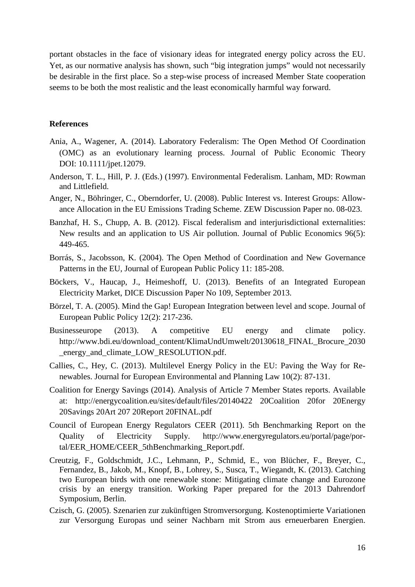portant obstacles in the face of visionary ideas for integrated energy policy across the EU. Yet, as our normative analysis has shown, such "big integration jumps" would not necessarily be desirable in the first place. So a step-wise process of increased Member State cooperation seems to be both the most realistic and the least economically harmful way forward.

#### **References**

- Ania, A., Wagener, A. (2014). Laboratory Federalism: The Open Method Of Coordination (OMC) as an evolutionary learning process. Journal of Public Economic Theory DOI: 10.1111/jpet.12079.
- Anderson, T. L., Hill, P. J. (Eds.) (1997). Environmental Federalism. Lanham, MD: Rowman and Littlefield.
- Anger, N., Böhringer, C., Oberndorfer, U. (2008). Public Interest vs. Interest Groups: Allowance Allocation in the EU Emissions Trading Scheme. ZEW Discussion Paper no. 08-023.
- Banzhaf, H. S., Chupp, A. B. (2012). Fiscal federalism and interjurisdictional externalities: New results and an application to US Air pollution. Journal of Public Economics 96(5): 449-465.
- Borrás, S., Jacobsson, K. (2004). The Open Method of Coordination and New Governance Patterns in the EU, Journal of European Public Policy 11: 185-208.
- Böckers, V., Haucap, J., Heimeshoff, U. (2013). Benefits of an Integrated European Electricity Market, DICE Discussion Paper No 109, September 2013.
- Börzel, T. A. (2005). Mind the Gap! European Integration between level and scope. Journal of European Public Policy 12(2): 217-236.
- Businesseurope (2013). A competitive EU energy and climate policy. http://www.bdi.eu/download\_content/KlimaUndUmwelt/20130618\_FINAL\_Brocure\_2030 \_energy\_and\_climate\_LOW\_RESOLUTION.pdf.
- Callies, C., Hey, C. (2013). Multilevel Energy Policy in the EU: Paving the Way for Renewables. Journal for European Environmental and Planning Law 10(2): 87-131.
- Coalition for Energy Savings (2014). Analysis of Article 7 Member States reports. Available at: http://energycoalition.eu/sites/default/files/20140422 20Coalition 20for 20Energy 20Savings 20Art 207 20Report 20FINAL.pdf
- Council of European Energy Regulators CEER (2011). 5th Benchmarking Report on the Quality of Electricity Supply. http://www.energyregulators.eu/portal/page/portal/EER\_HOME/CEER\_5thBenchmarking\_Report.pdf.
- Creutzig, F., Goldschmidt, J.C., Lehmann, P., Schmid, E., von Blücher, F., Breyer, C., Fernandez, B., Jakob, M., Knopf, B., Lohrey, S., Susca, T., Wiegandt, K. (2013). Catching two European birds with one renewable stone: Mitigating climate change and Eurozone crisis by an energy transition. Working Paper prepared for the 2013 Dahrendorf Symposium, Berlin.
- Czisch, G. (2005). Szenarien zur zukünftigen Stromversorgung. Kostenoptimierte Variationen zur Versorgung Europas und seiner Nachbarn mit Strom aus erneuerbaren Energien.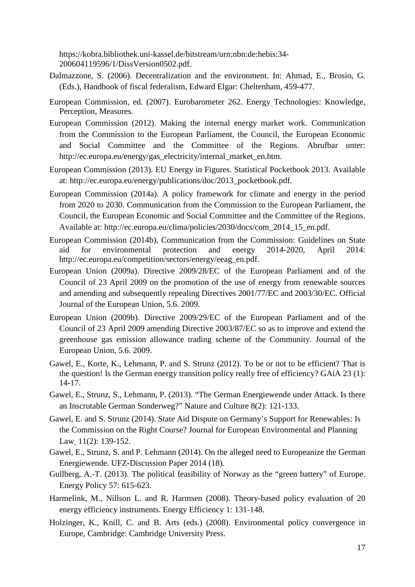https://kobra.bibliothek.uni-kassel.de/bitstream/urn:nbn:de:hebis:34- 200604119596/1/DissVersion0502.pdf.

- Dalmazzone, S. (2006). Decentralization and the environment. In: Ahmad, E., Brosio, G. (Eds.), Handbook of fiscal federalism, Edward Elgar: Cheltenham, 459-477.
- European Commission, ed. (2007). Eurobarometer 262. Energy Technologies: Knowledge, Perception, Measures.
- European Commission (2012). Making the internal energy market work. Communication from the Commission to the European Parliament, the Council, the European Economic and Social Committee and the Committee of the Regions. Abrufbar unter: http://ec.europa.eu/energy/gas\_electricity/internal\_market\_en.htm.
- European Commission (2013). EU Energy in Figures. Statistical Pocketbook 2013. Available at: http://ec.europa.eu/energy/publications/doc/2013\_pocketbook.pdf.
- European Commission (2014a). A policy framework for climate and energy in the period from 2020 to 2030. Communication from the Commission to the European Parliament, the Council, the European Economic and Social Committee and the Committee of the Regions. Available at: http://ec.europa.eu/clima/policies/2030/docs/com\_2014\_15\_en.pdf.
- European Commission (2014b), Communication from the Commission: Guidelines on State aid for environmental protection and energy 2014-2020, April 2014: http://ec.europa.eu/competition/sectors/energy/eeag\_en.pdf.
- European Union (2009a). Directive 2009/28/EC of the European Parliament and of the Council of 23 April 2009 on the promotion of the use of energy from renewable sources and amending and subsequently repealing Directives 2001/77/EC and 2003/30/EC. Official Journal of the European Union, 5.6. 2009.
- European Union (2009b). Directive 2009/29/EC of the European Parliament and of the Council of 23 April 2009 amending Directive 2003/87/EC so as to improve and extend the greenhouse gas emission allowance trading scheme of the Community. Journal of the European Union, 5.6. 2009.
- Gawel, E., Korte, K., Lehmann, P. and S. Strunz (2012). To be or not to be efficient? That is the question! Is the German energy transition policy really free of efficiency? [GAiA](http://www.oekom.de/zeitschriften/gaia) 23 (1): 14-17.
- Gawel, E., Strunz, S., Lehmann, P. (2013). "The German Energiewende under Attack. Is there an Inscrutable German Sonderweg?" Nature and Culture 8(2): 121-133.
- Gawel, E. and S. Strunz (2014). State Aid Dispute on Germany's Support for Renewables: Is the Commission on the Right Course? [Journal for European Environmental and Planning](http://booksandjournals.brillonline.com/content/journals/18760104)  [Law](http://booksandjournals.brillonline.com/content/journals/18760104)<sub>11(2)</sub>: 139-152.
- Gawel, E., Strunz, S. and P. Lehmann (2014). On the alleged need to Europeanize the German Energiewende. UFZ-Discussion Paper 2014 (18).
- Gullberg, A.-T. (2013). The political feasibility of Norway as the "green battery" of Europe. Energy Policy 57: 615-623.
- Harmelink, M., Nillson L. and R. Harmsen (2008). Theory-based policy evaluation of 20 energy efficiency instruments. Energy Efficiency 1: 131-148.
- Holzinger, K., Knill, C. and B. Arts (eds.) (2008). Environmental policy convergence in Europe, Cambridge: Cambridge University Press.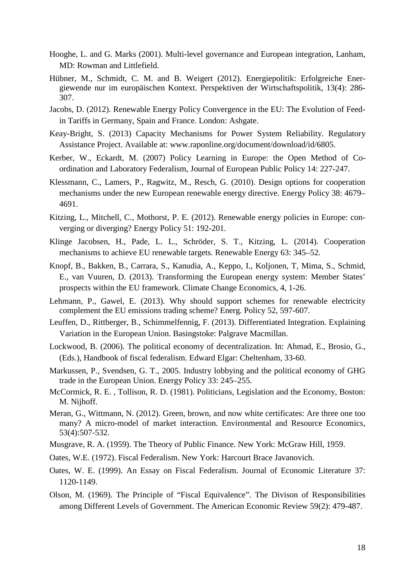- Hooghe, L. and G. Marks (2001). Multi-level governance and European integration, Lanham, MD: Rowman and Littlefield.
- Hübner, M., Schmidt, C. M. and B. Weigert (2012). Energiepolitik: Erfolgreiche Energiewende nur im europäischen Kontext. Perspektiven der Wirtschaftspolitik, 13(4): 286- 307.
- Jacobs, D. (2012). Renewable Energy Policy Convergence in the EU: The Evolution of Feedin Tariffs in Germany, Spain and France. London: Ashgate.
- Keay-Bright, S. (2013) Capacity Mechanisms for Power System Reliability. Regulatory Assistance Project. Available at: www.raponline.org/document/download/id/6805.
- Kerber, W., Eckardt, M. (2007) Policy Learning in Europe: the Open Method of Coordination and Laboratory Federalism, Journal of European Public Policy 14: 227-247.
- Klessmann, C., Lamers, P., Ragwitz, M., Resch, G. (2010). Design options for cooperation mechanisms under the new European renewable energy directive. Energy Policy 38: 4679– 4691.
- Kitzing, L., Mitchell, C., Mothorst, P. E. (2012). Renewable energy policies in Europe: converging or diverging? Energy Policy 51: 192-201.
- Klinge Jacobsen, H., Pade, L. L., Schröder, S. T., Kitzing, L. (2014). Cooperation mechanisms to achieve EU renewable targets. Renewable Energy 63: 345–52.
- Knopf, B., Bakken, B., Carrara, S., Kanudia, A., Keppo, I., Koljonen, T, Mima, S., Schmid, E., van Vuuren, D. (2013). Transforming the European energy system: Member States' prospects within the EU framework. Climate Change Economics, 4, 1-26.
- Lehmann, P., Gawel, E. (2013). Why should support schemes for renewable electricity complement the EU emissions trading scheme? Energ. Policy 52, 597-607.
- Leuffen, D., Rittberger, B., Schimmelfennig, F. (2013). Differentiated Integration. Explaining Variation in the European Union. Basingstoke: Palgrave Macmillan.
- Lockwood, B. (2006). The political economy of decentralization. In: Ahmad, E., Brosio, G., (Eds.), Handbook of fiscal federalism. Edward Elgar: Cheltenham, 33-60.
- Markussen, P., Svendsen, G. T., 2005. Industry lobbying and the political economy of GHG trade in the European Union. Energy Policy 33: 245–255.
- McCormick, R. E. , Tollison, R. D. (1981). Politicians, Legislation and the Economy, Boston: M. Nijhoff.
- Meran, G., Wittmann, N. (2012). Green, brown, and now white certificates: Are three one too many? A micro-model of market interaction. Environmental and Resource Economics, 53(4):507-532.
- Musgrave, R. A. (1959). The Theory of Public Finance. New York: McGraw Hill, 1959.
- Oates, W.E. (1972). Fiscal Federalism. New York: Harcourt Brace Javanovich.
- Oates, W. E. (1999). An Essay on Fiscal Federalism. Journal of Economic Literature 37: 1120-1149.
- Olson, M. (1969). The Principle of "Fiscal Equivalence". The Divison of Responsibilities among Different Levels of Government. The American Economic Review 59(2): 479-487.